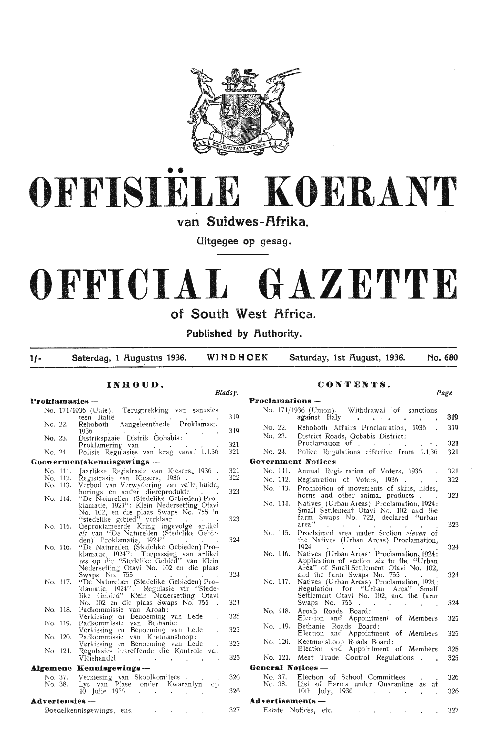

# •• **OFFISIELE KOERANT**

**van Suidwes-f\frika.** 

**Uitgegee op gesag.** 

# **OFFICIAL GAZETTE of South West Africa.**

**Published by fluthority.** 

**1/- Saterdag, 1 flugustus 1936. WINDHOEK Saturday, 1st flugust, 1936. No. 680** 

#### **INHOUD.**

## *Bladsy.*

**Proklamasies** - No. 171/1936 (Unie). Terugtrekking van sanksies<br>teen Italië 319 No. 22. Rehoboth Aangeleenthede Proklamasie 319 No. 23. . Distrikspaaie, Distrik Gobabis:<br>Proklamering van 321 No. 24. Polisie Regulasies van krag vanaf 1.1.36 321 **Goewermentskennisgewings** - 321 No. 111. Jaarlikse Registrasie van Kiesers, 1936 . 322 No. 112. Registrasie van Kiesers, 1936 . . . . . .<br>No. 113. Verbod van Verwydering van velle,huide, 323 horings en ander diereprodukte . .<br>-No. 114. "De Naturellen (Stedelike Gebieden) Pro klamatie, 1924": Klein Nedersetting Otavi No, 102, en die plaas Swaps No. 755 'n "stedelike gebied" verklaar  $\cdots$  . 323 No. 115. Geproklameerde Kring ingevolge artikel elf van ''De Naturellen (Stedelike Gebie-<br>den) Proklamatie, 1924'' . 324 No. 116. "De Naturellen (Stedelike Gebieden) Pro-<br>klamatie, 1924": Toepassing van artikel *ses* op di·e ··Stcdelike Qebied" van Klein Nedersetting Otavi No. 102 en die plaas<br>Swaps No. 755 324 Swaps No. 755<br>No. 117. "De Naturellen (Stedelike Gebieden) Proklamatie, 1924": Regulasie vir "Stedelike Gebied" K'ein Nedersetting Otavi No. 102 en die plaas Swaps No. 755 324 No. 118. Padkommissie van Aroab:  $325$ Verkiesing en Benoeming van Lede No. 119. Padkommissic van Bethanie: Verkiesing en Benoeming van Lede 325 No. 120. Padkommissie van Keetmanshoop: 325 Verkiesing en Benoeming van Lede No. 121. Regulasies betreffende die Kontrole van Vleishandel 325  $\mathcal{A}$  $\overline{a}$ **Algemene Kennisgewings** No. 37. 326 Verki-esing van Skoolkomitees Lys van Plas No. 38. Lys van Plase onder Kwarantyn op 326 **Advertensies** - 327 Boedelkennisgewings, ens,  $\sim 10$ 

## **CONTENTS.**

| Proclamations —  |          |                                                                                                                                                                  | Page |
|------------------|----------|------------------------------------------------------------------------------------------------------------------------------------------------------------------|------|
|                  |          | No. 171/1936 (Union). Withdrawal of sanctions                                                                                                                    |      |
|                  |          | against Italy<br>ä.<br>$\sim$<br>.,<br>à.                                                                                                                        | 319  |
|                  | No. 22.  | Rehoboth Affairs Proclamation,<br>1936.                                                                                                                          | 319  |
|                  | No. 23.  | District Roads, Gobabis District:<br>Proclamation of .                                                                                                           | 321  |
| No. 24.          |          | Police Regulations effective from 1.1.36                                                                                                                         | 321  |
|                  |          | Government Notices —                                                                                                                                             |      |
|                  | No. 111. | Annual Registration of Voters, 1936                                                                                                                              | 321  |
|                  | No. 112. | Registration of Voters, 1936.                                                                                                                                    | 322  |
|                  | No. 113. | Prohibition of movements of skins, hides,<br>horns and other animal products.                                                                                    | 323  |
|                  | No. 114. | Natives (Urban Areas) Proclamation, 1924:<br>Small Settlement Otavi No. 102 and the<br>farm Swaps No. 722, declared "urban                                       |      |
|                  |          | area''<br>a con<br>$\mathcal{L}^{\text{max}}$<br>$\sim 100$                                                                                                      | 323  |
|                  | No. 115. | Proclaimed area under Section eleven of<br>the Natives (Urban Areas) Proclamation,<br>1924                                                                       | 324  |
|                  | No. 116. | Natives (Urban Areas\ Proclamation, 1924:<br>Application of section six to the "Urban<br>Area" of Small Settlement Otavi No. 102,<br>and the farm Swaps No. 755. | 324  |
|                  | No. 117. | Natives (Urban Areas) Proclamation, 1924:<br>Regulation for "Urban Area" Small<br>Settlement Otavi No. 102, and the farm<br>Swaps No. $755$ .                    | 324  |
|                  | No. 118. | Aroab Roads Board:<br>Election<br>and Appointment of Members                                                                                                     | 325  |
|                  | No. 119. | Bethanie Roads Board:<br>Election and Appointment of Members                                                                                                     | 325  |
|                  | No. 120. | Keetmanshoop Roads Board:<br>Election and Appointment of Members                                                                                                 | 325  |
|                  | No. 121. | Meat Trade Control Regulations.                                                                                                                                  | 325  |
|                  |          | <b>General Notices</b> -                                                                                                                                         |      |
|                  | No. 37.  | Election of School Committees                                                                                                                                    | 326  |
|                  | No. 38.  | List of Farms under Quarantine as<br>at<br>10th July, 1936                                                                                                       | 326  |
| Advertisements - |          |                                                                                                                                                                  |      |
|                  |          | Estate Notices, etc.                                                                                                                                             | 327  |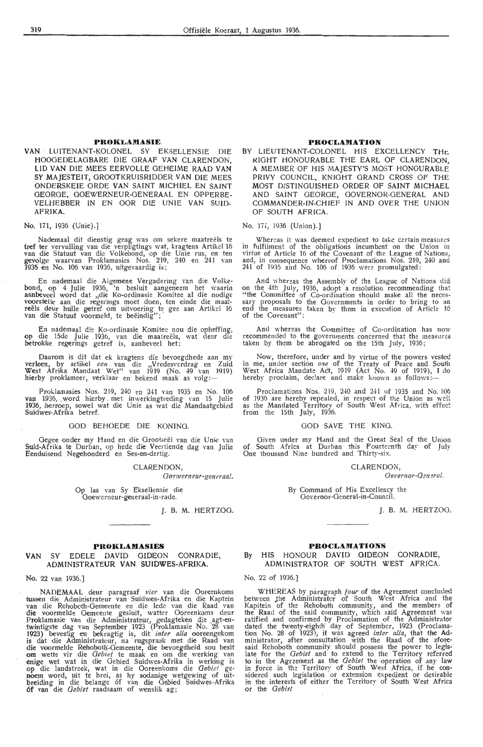#### PROKLAMASIE

VAN · LUITENANT-KOLONEL SY EKSELLENSIE DIE HOOOEDELAOBARE DIE GRAAF VAN CLARENDON, LID VAN DIE MEES EERVOLLE OEHEIME RAAD VAN' SY MAJESTEIT, OROOTKRUISRIDDER VAN DIE MEES ONDERSKEIE ORDE VAN SAINT MICHIEL EN SAINT GEORGE, GOEWERNEUR-OENERAAL EN OPPERBE-VELHEBBER IN EN OOR DIE UNIE VAN SUID-AFRIKA.

No. 171, 1936 (Unie).]

Nademaal dit dienstig geag was om sekere maatreëls te tref ter vervulling van die verpligtings wat, kragtens Artikel 16<br>van die Statuut van die Volkebond, op die Unie rus, en ten gevolge waarvan Proklamasies Nos. 219, 240 en 241 van<br>1935 en No. 106 van 1936, uitgevaardig is;

En nademaal die Algemene Vergadering van die Volke-<br>bond, op 4 Julie 1936, 'n besluit aangeneem het waarin aanbeveel word dat "die Ko-ordinasie Komitee al die nodige voorstelle aan die regerings moet doen, ten einde die maat-<br>reëls deur hulle getref om uitvoering te gee aan Artikel 16<br>van die Statuut voormeld, te beëindig''; ·

En nademaal die Ko-ordinasie Komitee nou die opheffing, op die 15de Julie 1936, van die maatreëls, wat deur die betrokke regerings getref is, aanbeveel het;

Daarom is dit dat ek kragtens die bevoegdhede aan my verleen, by artikel een van die "Vredesverdrag en Zuid West Afrika Mandaat Wet" van 1919 (No. 49 van 1919) hierby proklameer, verklaar en bekend maak as volg:-

Proklamasies Nos. 219, 240 en 241 van 1935 en No. 106 van 1936, word hierby met inwerkingtreding van 15 Julie 1936, hermep, sowel wat die Unie as wat die Mandaatgebied Suidwes-Afrika betref.

#### GOD BEHOEDE DIE KONING.

Oegee onder my Hand en die Grootseël van die Unie van Suid-Afrika te Durban, op hede die Veertiende dag van Julie Eenduisend Negehonderd en Ses-en-dertig.

CLARENDON,

Goewerneur-generaa!.

Op las van Sy Eksellensie die<br>Goewerneur-generaal-in-rade.

J. B. M. HERTZOG.

#### **PROKLAMASIES**

#### **VAN** SY EDELE DAVID GIDEON CONRADIE, ADMINISTRATEUR VAN SUIDWES-AFRIKA.

No. 22 van 1936.]

NADEMAAL deur paragraaf *vier* van die Ooreenkoms tussen die Administrateur van Suidwes-Afrika en die Kaptein<br>van die Rehoboth-Gemeente en die lede van die Raad van die voormelde Gemeente gesluit, watter Ooreenkoms deur<br>Proklamasie van die Administrateur, gedagteken die agt-en-<br>twintigste dag van September 1923 (Proklamasie No. 28 van<br>1923) bevestig en bekragtig is, dit *inter alia* o is dat die Administrateur, na rugspraak met die Raad van die voormelde Rehoboth-Gemeente, die bevoegdheid sou besit om wette vir die *Gebiet* te maak en om die werking van enige wet wat in die Gebied Suidwes-Afrika in werking is op die landstreek, wat in die Ooreenkoms die *Gebiet* ge-<br>noem word, uit te brei, as hy sodanige wetgewing of uitbreiding in die belange of van die Gebied Suidwes-Afrika 6f van die *Gebiet* raadsaam of wenslik ag;

#### **PROCLAMATION**

BY LIEUTENANT-COLONEL HIS EXCELLENCY THE RIGHT HONOURABLE THE EARL OF CLARENDON, A MEMBER OF HIS MAJESTY'S MOST HONOURABLE PRIVY COUNCIL, KNIGHT GRANO CROSS OF THE MOST DISTINGUISHED ORDER OF SAINT MICHAEL AND SAINT GEORGE, GOVERNOR-GENERAL ANO COMMANDER-IN-CHIEF IN AND OVER THE UNION OF SOUTH AFRICA.

No. 171, 1936 (Union).]

Whereas it was deemed expedient to take certain measures<br>in fulfilment of the obligations incumbent on the Union in virtue of Article 16 of the Covenant of the League of Nations, and, in consequence whereof Proclamations Nos. 219, 240 and<br>241 of 1935 and No. 106 of 1936 were promulgated:

And whereas the Assembly of the League of Nations did on the 4th July, 1936, adopt a resolution recommending that "the Committee of Co-ordination should make all the neces-"the Committee of Co-ordination should make all the neces-<br>sary proposals to the Governments in order to bring to an<br>end the measures taken by them in execution of Article 16 of the Covenant":

And whereas the Committee of Co-ordination has now recommended to the governments concerned that the measures taken by them be abrogated on the 15th July, 1936;

Now, therefore, under and by virtue of the powers vested<br>in me, under section *one* of the Treaty of Peace and South West Africa Mandate Act, 1919 (Act No. 49 of 1919), I do<br>hereby proclaim, declare and make known as follows:—

Proclamations Nos. 219, 240 and 241 of 1935 and No. 106 of 1936 are hereby repealed, in respect of the Union as well as the Mandated Territory of South West Africa, with effect from the 15th July, 1936.

#### GOD SAVE THE KING.

Given under my Hand and the Great Seal of the Union of South Africa at Durban this Fourteenth day of July One thousand Nine hundred and Thirty-six.

CLARENDON,

Governor-General.

By Command of His Excellency the Govemor-Oeneral-in-Council.

J. B. M. HERTZOG.

#### **PROCLAMATIONS**

#### By HIS HONOUR **DAVID** GIDEON CONRADIE, ADMINISTRATOR Of SOUTH WEST AFRICA.

#### No. 22 of 1936.]

WHEREAS by paragraph *four* of the Agreement concluded between the Administrator of South West Africa and the <br>Kapitein of the Rehoboth community, and the members of the Raad of the said community, which said Agreement was<br>ratified and confirmed by Proclamation of the Administrator<br>dated the twenty-eighth day of September, 1923 (Proclama-<br>tion No. 28 of 1923), it was agreed *inter alia* said Rehoboth community should possess the power to legislate for the *Gebiet* and to extend to the Territory referred to in the Agreement as the *Gebiet* the operation of any law in force in the Territory of South West Africa, if he considered such legislation or extension expedient or desirable in the interests of either the Territory of South West Africa, it in the interests of either the Territory of South West Africa or the *Oebiet*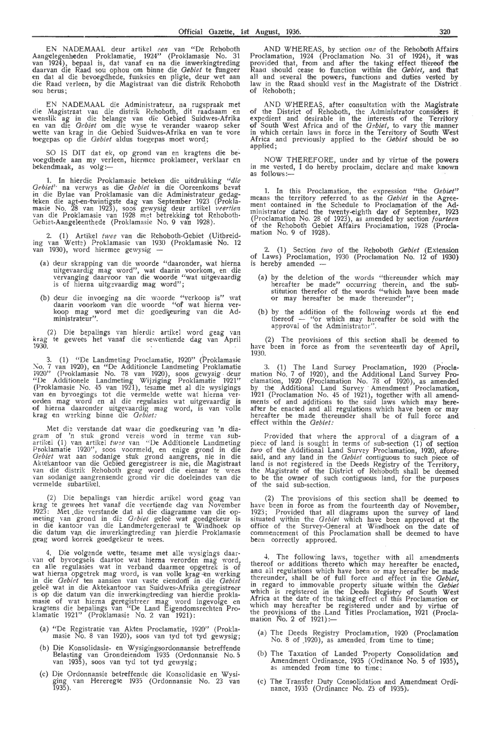EN NADEMAAL deur artikel *een* van "De Rehoboth Aangelegenheden Proklamatie, 1924" (Proklamasie No. 31 van 1924), bepaal is, dat vanaf en na die inwerkingtreding daarvan die Raad sou ophou om binne die *Gebiet* te fungeer<br>en dat al die bevoegdhede, funksies en pligte, deur wet aan die Raad verleen, by die Magistraat van die distrik Rehoboth sou berus;

EN NADEMAAL die Administrateur, na rugspraak met die Magistraat van die distrik Rehoboth, dit raadsaam en wenslik ag in die belange van die Gebied Suidwes-Afrika<br>en van die *Gebiet* om die wyse te verander waarop seker wette van krag in die Gebied Suidwes-Afrika en van te vore<br>toegepas op die *Gebiet* aldus toegepas moet word;

SO IS DIT dat ek, op grond van en kragtens die bevoegdhede aan my verleen, hiermee proklameer, verklaar en<br>bekendmaak, as volg:---

1. In hierdie Proklamasie beteken die uitdrukking *''die Oehiet''* na verwvs as die *Oebiet* in die Ooreenkoms bevat in die Bylae van' Proklamasie van die Administrateur gedagteken die agt-en-twintigste dag van September 1923 (Proklamasie No. 28 van 1923), soos gewysig deur artikel *11eertie11* van die Proklamasie van 1928 met betrekking *tot* Rehoboth - Gebiet-Aangeleenthecle (Proklamasie No. 9 van 1928).

2. ( 1) Artikel *twee* van die Rehoboth-Gebiet (Uitbreid-ing rnn Wetk) Proklamasie van 1930 (Proklamasie No. 12 van 1930), word hiermee gewysig -

- (a) deur skrapping van die woorde "daaronder, wat hierna uitgevaardig mag word", wat daarin voorkom, en die vervanging daarvoor van die woorde "wat uitgevaardig is of hierna uitgevaardig mag word";
- (b) deur die invoeging na die woorde "verkoop is" daarin voorkom van die woorde "of wat hierna koop mag word met die goedkeuring van die ministrateur". wat **ver-Ad-**

(2) Die bepalings van hierdie artikel word geag van krag te gewees het vanaf die sewentiende dag van April 1930.

3. (1) "De Landmeting Proclamatie, 1920" (Proklamasie No. 7 van 1920), en "De Additionele Landmeting Proklamatie 1920" (Proklamasie No. 78 van 1920), soos gewysig deur "De Additionele Landmeting Wijziging Proklamatie 1921" (Proklamasie No. 45 van 1921), tesame met al die wysigings<br>van en byvoegings tot die vermelde wette wat hierna verorden mag word en al die regulasies wat uitgevaardig is of hierna daa ronder uitgevaardig mag word, is van voile krag en werking binne die *Gebiet:* 

Met die verstande dat waar die goedkeuring van 'n diagram of 'n stuk grond vereis word in terme van sub-<br>artikel (1) van artikel *twee* van "De Additionele Landmeting Proklamatie 1920", soos voormeld, en enige grond in die *Oebiet* wat aan sodanige stuk grond aangrens, nie in die Aktekantoor van die Gebied geregistreer is nie, die Magistraat<br>van die distrik Rehoboth geag word die eienaar te wees van sodanige aangrensende grond vir die doeleindes van die vermelde subartikel.

(2) Die bepalings van hierdie artikel word geag van krag te gewees het vanaf die veertiende dag van November 1923: Met .die verstande dat al die diagramme van die opmeting van grond in die *Gebiet* geleë wat goedgekeur is in die kantoor van die Landmetergeneraal te Windhoek op die datum van die inwerkingtreding van hierdie Proklamasie geag word korrek goedgekeur te wees.

4. Die volgende wette, tesame met alle wysigings daar-<br>van of byvoegsels daartoe wat hierna verorden mag word,<br>en alle regulasies wat in verband daarmee opgetrek is of wat hierna opgetrek mag word, is van volle krag en werking in die *Gebiet* ten aansien van vaste eiendom in die *Gebiet* geleë wat in die Aktekantoor van Suidwes-Afrika geregistreer is op die datum van die inwerkingtreding van hierdie proklamasie of wat hierna geregistreer mag word ingevolge en kragtens die bepalings van "De Land Eigendomsrechten Proklamatie 1921" (Proklamasie No. 2 van 1921):

- (a) "De Registratie van Akten Proclamatie, 1920" (Proklamasie No. 8 van 1920), soos van tyd tot tyd gewysig;
- (b) Die Konsolidasie- en Wysigingsordonnansie betreffende Belasting van Orondeiendom 1935 (Ordonnansie No. 5 van 1935 ), soos van tyd tot tyd gewysig;
- (c) Die Ordonnansie betreffende die Konsolidasie en Wvsi• ging van Hereregte 1935 (Ordonnansie No. 23 van<br>1935).

AND WHEREAS, by section *one* of the Rehoboth Affairs Proclamation, 1924 (Proclamation No. 31 of 1924), it was provided that, foom and after the taking effect thereof **t'he**  Raad should cease to function within the *Gebiet*, and that all and several the powers, functions and duties vested by law in the Raad should vest in the Magistrate of the District. of Rehohoth ;

AND WHEREAS, after consultation with the Magistrate of the District of Rehoboth, the Administrator considers it expedient and desirable in the interests of the Territory<br>of South West Africa and of the *Oebiet*, to vary the manner in which certain laws in force in the Territory of South West Africa and previously applied to the *Gebiet* should be so<br>applied;

NOW THEREFORE, under and by virtue of the powers in me vested, I do hereby proclaim, declare and make known<br>as follows:—

1. In this Proclamation, the expression "the *Gebiet"* means the territory referred to as the *Gebiet* in the Agreement contained in the Schedule to Proclamation of the Administrator dated the twenty-eighth day of September, 1923 (Proclamation No. 28 of 1923), as amended by section *fourteen* of the Rehoboth Gebiet Affairs Proclamation, 1928 (Proclamation No. 9 of 1928).

2. (1) Section *two* of the Rehoboth *Gebiet* (Extension of Laws) Proclamation, 1930 (Proclamation No. 12 of 1930) is hereby amended -

- (a) by the deletion of the words "thereunder which **may**  hereafter be made" occurring therein, and the substitution therefor of the words "which have been made<br>or may hereafter be made thereunder";
- (b) by the addition ·of the following words at the **end**  thereof  $-$  "or which may hereafter be sold with the approval of the Administrator".

(2) The provisions of this section shall be deemed to have been in force as from the seventeenth day of April, 1930.

3. (1) The Land Survey Proclamation, 1920 (Proclamation No. 7 of 1920), and the Additional Land Survey Proclamation, 1920 (Proclamation ·No. 78 of 1920), as amended by the Additional Land Survey Amendment Proclamation,<br>1921 (Proclamation No. 45 of 1921), together with all amendments of and additions to the said laws which may hereafter be enacted and all regulations which have been or may hereafter be made thereunder shall be of full force and effect within the *Oebiet:* 

Provided that where the approval of a diagram of a piece of land is sought in terms of sub-section (1) of section *two* of the Additional Land Survey Proclamation, 1920, afore-<br>said, and any land in the *Gebiet* contiguous to such piece of land is not registered in the Deeds Registry of the Territory, the Magistrate of the District of Rehoboth shall be deemed to be the owner of such contiguous land, for the purposes of the said sub-section.

(2) The provisions of this section shall be deemed to have been in force as from the fourteenth day of November, 1923; Provided that all diagrams upon the survey of land situated within the *Oebiet* which have been approved at the office of the Survey-General at Windhoek on the date of commencement of this Proclamation shall be deemed to have been correctly approved.

4. The following laws, together with all amendments thereof or additions thereto which may hereafter be enacted, and all regulations which have been or may hereafter be made thereunder, shall be of full force and effect in the *Gebiet*, in regard to immovable pr•operty situate within the *Oebiet*  which is registered in the Deeds Registry of South West Africa at the date of the taking effect of this Proclamation or which may hereafter be registered under and by virtue of the provisions of the Land Titles Proclamation, 1921 (Procla-<br>mation No. 2 of 1921):—

- (a) The Deeds Registry Proclamation, 1920 (Proclamation No. 8 of \_1920), as amended. from time to **time·;**
- (b) The Taxation of Landed Property Consolidation and Amendment Ordinance, 1935 (Ordinance No. 5 of 1935), as amended from time to time;
- (c) The Transfer Duty Consolidation and Amendment Ordinance, 1935 (Ordinance No. 23 of 1935 ).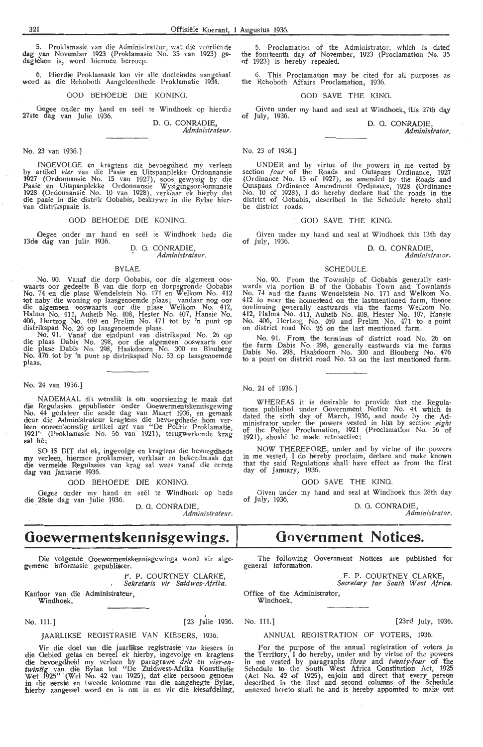5. Proklamasie van die Administrateur, wat die veertiende dag van November 1923 (Proklamasie No. 35 van 1923) gedagteken is, word hiermee herroep.

6. Hierdie Proklamasie kan vir alle doeleindes aangehaal word as die Rehoboth Aangeleenthede Proklamatie 1936.

GOD BEHOEDE DIE KONING.

Oegee onder my hand en seël te Windhoek op hierdie 27ste dag van Julie 1936. D. 0. CONRADIE,

*Administrateur.* 

#### No. 23 van 1936.]

INGEVOLGE en kragtens die bevoegdheid my Yer!een by artikel *vier* van die Paaie en Uitspanplekke Ordonnansie 1927 (Ordonnansie No. 15 van 1927), soos gewysig by die Paaie en Uitspanplekke Ordonnansie Wysigingsordonnansie 1928 (Ordonnansie No. 10 van 1928), verklaar ek hierby dat die paaie in die distrik Gobabis, beskrywe in die Bylae hier-<br>van distrikspaaie is.

#### GOD BEHOEDE DIE KONING.

Oegee onder my hand en seël te Windhoek hede die 13de dag van Julie 1936.

D. G. CONRADIE. *Administraieur.* 

#### BYLAE.

No. 90. Vanaf die dorp Oobabis, oor die algemeen oo~- waarts oor gedeelte B van die dorp en dorpsgronde Gobabis No. 74 en die plase Wendelstein No. 171 en Welkom No. 412 tot naby die woning op laasgenoemde plaas; vandaar nog oor die algemeen ooswaarts oor die plase Welkom No. 412, Halma No. 411, Auheib No. 408, Hester No. 407, Hansie No. 406, Hertzog No. 469 en Prelim No. 471 tot by 'n punt op distrikspad No. 26 op laasgenoemde plaas.

No. 91. Vanaf die •eindpunt van distrikspad No. 26 o\_p die plaas Dabis No. 298, oor die algemeen ooswaarts oor<br>die plase Dabis No. 298, Haakdoorn No. 300 en Blouberg No. 476 tot by 'n punt op distrikspad No. 53 op laasgenoemde plaas.

No. 24 van 1936.)

NADEMAAL dit wenslik is om voorsiening te maak dat die Regulasies gepubliseer onder Goewermentskennisgewing No. 44 gedateer die sesde dag van Maart 1936, en gemaak deur die Administrateur kragtens die bevoegdhede hom ver-<br>leen ooreenkomstig artikel *agt* van "De Politie Proklamatie, 1921' (Proklamasie No. 56 van 1921), terugwerkende krag sal he;

SO IS DIT dat ek, ingevolge en kragtens die bevoegdhede my verleen, hiermee proklameer, verklaar en bekendmaak dat die vermelde Regulasies van krag sal wees vanaf die eerste dag van Januarie 1936.

GOD BEHOEDE DIE KONING.

Oegiee onder my hand en seel te Windhoek op hede die 28ste dag van Julie 1936. D. G. CONRADIE,

*Administrateur.* 

# **Goewermentskennisgewings.** Government Notices.<br>
Die volvende Goewermentskennisgewings word vir alge. The following Government Notices are publis

Die volgende Goewermentskennisgewings word vir algegemene informasie gepubliseer.

> F. P. COURTNEY CLARKE, *Sekretaris vir Suidwes-Afrika.*

Kantoor van die Administrateur, Windhoek,

No. 111.) [23 Julie 1936. No. 111.] [23rd July, 1936.

#### JAARLIKSE REOISTRASIE VAN KIESERS, 1936.

Vir die doel van die jaarlikse registrasie van kiesers in die Gebied gelas en beveel ek hierby, ingevolge en kragtens die bevoegdheid my verleen by paragrawe drie en vier-en *twintig* van die Bylae tot "De Zuidwest-Afrika Konstitutie Wet 1925" (Wet No. 42 van 1925), dat elke persoon genoem in die eerste en tweede kolomme van die aangehegte Bylae, hierby aangestel word en is om in en vir die kiesafdeling,

5. Proclamation of the Administrator, which is dated the fourteenth day of November, 1923 (Proclamation No. 35 of 1923) is hereby repealed.

6. This Proclamation may be cited for all purposes as the Rehoboth Affairs Proclamation, 1936.

#### GOD SAVE THE KING.

Given under my hand and seal at Windhoek, this  $27$ th day of July, 1936. D. 0. CONRADIE,

*Administrator.* 

## No. 23 of 1936.]

UNDER and by virtue of the powers in me vested by section *four* of the Roads and Outspans Ordinance, 1927 (Ordinance No. 15 of 1927), as amended *by* the Roads and Outspans Ordinance Amendment Ordinance, 1928 (Ordinanc~ No. 10 of 1928), I do hereby declare that the roads in the district of Oobabis, described in the Schedule hereto shall be district roads.

#### · . GOD SAVE THE KING.

Given under my hand and seal at Windhoek this 13th day of July, 1936.

**D. G.** CONRADIE, *Admlnistraror.* 

#### SCHEDULE.

No. 90. From the Township of Gobabis generally eastwards via portion B of the Gobabis Town and Townlands No. 74 and the farms W-en delstein No. 171 and Welkom No. 412 to near the homestead on the lastmentioned farm, thence continuing gemerally eastwards via the farms Welkom No. 412, Halma No. 411, Auheib No. 408, Hester No. 407, Hansie No. 406, Hertzog No. 469 and Prelim No. 471 to a point on district road No. 26 on the last mentioned farm.

No. 91. From the terminus of district road No. 26 on the farm Dabis No. 298, generally eastwards via the farms Dabis No. 298, Haakdoorn No. 300 and Blouberg No. 476 to a point on district road No. 53 on the last mentioned farm.

No. 24 of 1936.]

WHEREAS it is desirable to provide that the Regulations published under Government Notice No. 44 which is dated the sixth day of March, 1936, and made by the Administrator under the powers vested in him by section *eight* of the Police Proclamation, 1921 (Proclamation No. 56 of  $1921$ ), should be made retroactive;

NOW THEREFORE, under and by virtue of the powers in me vested, I do hereby proclaim, declare and make known that the said Regulations shall have effect as from the first day of January, 1936.

GOD SAVE THE KING.

Given under my hand and seal at Windhoek this 28th day of July, 1936.

D. 0. CONRADIE, *Administrator.* 

following Government Notices are published for general information.

> F. P. COURTNEY CLARKE *Secretary for South West Africa.*

Office of the Administrator, Windhoek,

#### ANNUAL REGISTRATION OF VOTERS, 1936.

For the purpose of the annual registration of voters in the Territory, I do hereby, under and by virtue of the powers in me vested by paragraphs *three* and *twenty-fow* of the Schedule to the South West Africa Constitution Act, 1925 (Act No. 42 of 1925), enjoin and direct that every person described in the first and second columns of the Schedule annexed hereto shall be and is hereby appointed to make out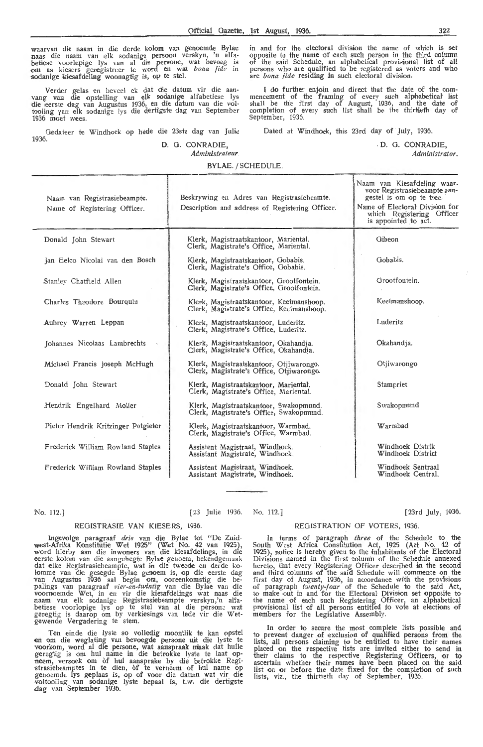waarvan die naam in die derde kolom van genoemde Bylae<br>naas die naam van elk sodanige persoon verskyn, 'n alfa-<br>betiese voorlopige lys van al die persone, wat bevoeg is<br>om as kiesers geregistreer te word en wat *bona fide* sodanige kiesafdeling woonagtig is, op te stel.

Verder gelas en beveel ek dat die datum vir die aan-<br>vang van die opstelling van elk sodanige alfabetiese lys die eerste dag van Augustus 1936, en die datum van die voltooiing yan elk sodanige lys die dertigste dag van September 1936 moet wees.

Gedateer te Windhoek op hede die 23ste dag van Julie 1936.

#### *D.* 0. CONRADIE, *Administrateur.*

in and for the electoral division the name of which is set opposite to the name of each such person in the third column of the said Schedule, an alphabetical provisional list of all persons who are qualified to be registered as voters and who<br>are *bona fide* residing in such electoral division.

I do further enjoin and direct that the date of the com-<br>mencement of the framing of every such alphabeticat list<br>shall be the first day of August, 1936, and the date of completion of every such list shall be the thirtieth day of September, 1936.

Dated at Windhoek, this 23rd day of July, 1936.

. D. 0. CONRADIE,

*Administrator.* 

[23rd July, 1936.

#### **BYLAE.** / SCHEDULE.

Naam van Registrasiebeampte. Name of Registering Officer. Donald John Stewart Jan Eelco Nicolai van den Bosch Stanley Chatfield Allen Charles Theodore Bourquin Aubrey Warren Leppan Johannes Nicolaas Lambrechts Michael Francis Joseph McHugh Donald John Stewart \_Hendrik Engelhard Moller Pieter Hendrik Kritzinger Potgieter Frederick William Rowland Staples Frederick William Rowland Staples Beskrywing en Adres van Registrasiebeamte. Description and address of Registering Officer. Klerk, Magistraatskantoor, Mariental. Clerk, Magistrate's Office, Mariental. Klenk, Magistraatskantoor, Oobabis. Clerk, Magistrate's Office, Oobabis. Klerk, Magistraatskantoor, Grootfontein. Clerk, Magistrate's Office, Grootfontein. Klerk, Magistraatskantoor, Keetmanshoop.<br>Clerk, Magistrate's Office, Keetmanshoop. Klerk, Magistraatskantoor, Luderitz. Clerk, Magistrate's Office, Luderitz. Klerk, Magistraatskantoor, Okahandja. Clerk, Magistrate's Office, Okahandja. Klerk, Magistraatskantoor, Otjiwarongo.<br>Clerk, Magistrate's Office, Otjiwarongo. Klerk, Magistraatskantoor, Mariental. Clerk, Magistrate's Office, Mariental. Klerk, Magistraatskantoor, Swakopmund. Clerk, Magistrate's Office, Swakopmund. Klerk, Magistraatskantoor, Warmbad. Clerk, Magistrate's Office, Warmbad. Assistent Magistraat, Windhoek. Assistant Magistrate, Windhoek. Assistent Magistraat, Windhoek. Assistant Magistrate, Windhoek. Naam van Kiesafdeling waar-<br>voor Registrasiebeampte aan-<br>gestel is om op te tree. Name of Electoral Division for which Registering Officer is appointed \_to act. Gibeon Gobabis. Grootfontein. Keetmanshoop. Luderitz Okahandja. Otjiwarongo Stampriet Swakopmund Warmbad Windhoek Distrik Windhoek District Windhoek Sentraal Windhoek Central.

No. 112.]

[23 Julie 1936. No. 112.]

#### REGISTRASIE VAN KIESERS, 1936. REGISTRATION OF VOTERS, 1936.

Ingevolge paragraaf *drie* van die Bylae tot "De Zuidwest-Afrika Konstitutie Wet 1925" (Wet No. 42 van 1925), word hierby aan die inwoners van die kiesafdelings, in die eerste kolom van die aangehegte Bylae genoem, bekendgemaak dat elke Registrasiebeampte, wat in die tweede en derde ko-<br>lomme van die gesegde Bylae genoem is, op die eerste dag<br>van Augustus 1936 sal begin om, ooreenkomstig die be--palings van paragraaf *vier-en-twintig* van die Bylae van die voornoemde Wet, in en vir die kiesafdelings wat naas die<br>naam van elk sodanige Registrasiebeampte verskyn,'n alfabetiese voorlopige lys op te stel van al die persone wat geregtig is daarop om by verkiesings van lede vir die Wet-<br>gewende Vergadering te stem.

Ten einde die lyste so volledig moontlik te kan opstel en om die weglating van bevoegde persone uit die lyste te voorkom, word al die persone, wat aanspraak mlaak dat hulle geregtig is om hul name in die betrokke lyste te laat opneem, versoek om of hul aansprake by die betrokke Registrasiebeamptes in te dien, of te verneem of hul name op genoemde lys geplaas is, op of **voor** die datum wat vir die voltooiing van sodanige lyste bepaal is, t.w. die dertigste .dag van September 1936.

In terms of paragraph *three* of the Schedule to the South West Africa Constitution Act, 1925 (Act No. 42 of 1925), notice is hereby given to the inhabitants of the Electoral' Divisions named in the first column of the Schedule annexed hereto, that every Registering Officer described in the second<br>and third columns of the said Schedule will commence on the first day of August, 1936, in accordance with the provisions of paragraph *twenty-four* of the Schedule to the said Act, to make out in and for the Electoral Division set opposite to the name of each such Registering Officer, an alphabetical provisional list of all persons entitled to vote at elections of members for the Legislative Assembly.

In order to secure the most complete lists possible and to prevent danger of exclusion of qualified persons from the lists, all persons claiming to be entitled to have their names placed on the respective lists are invited either to send in their claims to the respective Registering Officers, or to ascertain whether their names have been placed on the said<br>list on or before the date fixed for the completion of such lists, viz., the thirtieth day of September, 1936.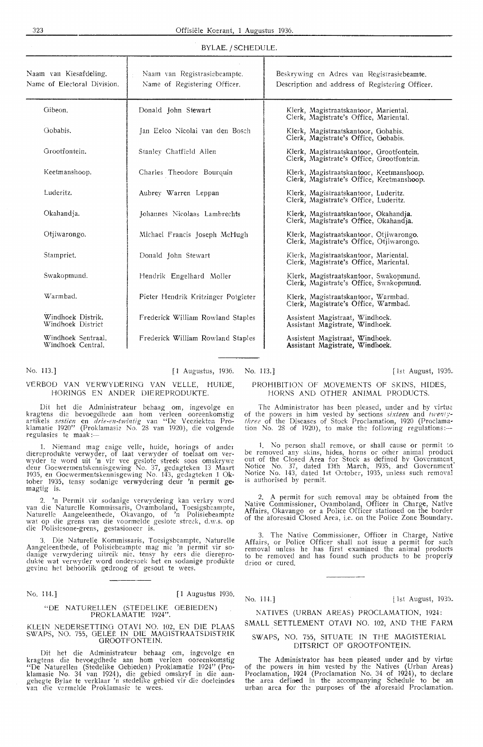#### BYLAE. / SCHEDULE.

| Naam van Kiesafdeling.<br>Name of Electoral Division. | Naam van Registrasiebeampte.<br>Name of Registering Officer. | Beskrywing en Adres van Registrasiebeamte.<br>Description and address of Registering Officer. |
|-------------------------------------------------------|--------------------------------------------------------------|-----------------------------------------------------------------------------------------------|
| Gibeon.                                               | Donald John Stewart                                          | Klerk, Magistraatskantoor, Mariental.<br>Clerk, Magistrate's Office, Mariental,               |
| Gobabis.                                              | Jan Eelco Nicolai van den Bosch                              | Klerk, Magistraatskantoor, Gobabis.<br>Clerk, Magistrate's Office, Gobabis.                   |
| Grootfontein.                                         | Stanley Chatfield Allen                                      | Klerk, Magistraatskantoor, Grootfontein.<br>Clerk, Magistrate's Office, Grootfontein.         |
| Keetmanshoop.                                         | Charles Theodore Bourouin                                    | Klerk, Magistraatskantoor, Keetmanshoop.<br>Clerk, Magistrate's Office, Keetmanshoop.         |
| Luderitz.                                             | Aubrey Warren Leppan                                         | Klerk, Magistraatskantoor, Luderitz.<br>Clerk, Magistrate's Office, Luderitz.                 |
| Okahandja.                                            | Johannes Nicolaas Lambrechts                                 | Klerk, Magistraatskantoor, Okahandja.<br>Clerk, Magistrate's Office, Okahandja.               |
| Otiiwarongo.                                          | Michael Francis Joseph McHugh                                | Klerk, Magistraatskantoor, Otjiwarongo.<br>Clerk, Magistrate's Office, Offivarongo.           |
| Stampriet.                                            | Donald John Stewart                                          | Klerk, Magistraatskantoor, Mariental.<br>Clerk, Magistrate's Office, Mariental.               |
| Swakopmund.                                           | Hendrik Engelhard Moller                                     | Klerk, Magistraatskantoor, Swakopmund.<br>Clerk, Magistrate's Office, Swakopmund.             |
| Warmhad.                                              | Pieter Hendrik Kritzinger Potgieter                          | Klerk, Magistraatskantoor, Warmbad.<br>Clerk, Magistrate's Office, Warmbad.                   |
| Windhoek Distrik.<br>Windhoek District                | Frederick William Rowland Staples                            | Assistent Magistraat, Windhoek.<br>Assistant Magistrate, Windhoek.                            |
| Windhoek Sentraal.<br>Windhoek Central.               | Frederick William Rowland Staples                            | Assistent Magistraat, Windhoek.<br>Assistant Magistrate, Windhoek.                            |

No. 113.] [1 Augustus, 1936. No. 113.] [1st August, 1936. [1st August, 1936.]

### VERBOD VAN VERWYDER!NO VAN VELLE, HUIDE, HORINGS EN ANDER DlEREPRODUKTE.

Dit het die Administrateur behaag om, ingevolge en<br>kragtens die bevoegdhede aan hom verleen ooreenkomstig artikels sestien en *drie-en-twintig* van "De Veeziekten Proklamatie 1920'' (Proklamasie No. 28 van 1920), die volgende<br>regulasies te maak:—

1. Niemand mag enige velle, huide, horings of ander diereprodukte verwyder, of laat verwyder of toelaat om ver- wyder te word uit 'n vir vee geslote streek soos omskrywe deur Ooewermentskennisgewing No. 37, gedagteken 13 Maart 1935, en Ooewermentskennisgewing No. 143, gedagteken 1 Oktober 1935, tensy sodanige verwydering deur 'n permit gemagtig is.

2. 'n Permit vir sodanige verwydering kan verkry word van die Nature!le Kommissaris, Ovamboland, Toesigsbeampte, NatureHe Aangeleenthede, Okavango, of 'n Polisiebeamptc wat op die grens van die voormelde geslote streck, d.w.s. op die Polisiesone-grens, gestasioneer is.

3. Die Natmelle Kommissaris, Toesigsbeampte, Naturelle Aangeleenthede, of Polisiebeampte mag nie 'n permit vir sodanige verwydering uitreik nie, tensy hy eers die diereprodukte wat verwyder word ondersoek het en sodanige produkte gevinu het behoorlik gedroog of gesout te wees.

No. 114.] [ 1 Augustus 1936.

#### ''DE NATURELLEN (STEDELIKE OEBiEDEN) PROKLAMATIE 1924".

#### KLEIN NEDERSETTINO OTAV! NO. 102, EN DIE PLAAS SWAPS, NO. 755, GELEË IN DIE MAGISTRAATSDISTRIK GROOTFONTEIN.

Dit het die Administrateur behaag om, ingevolge en kragtens die bevoegdhede aan hom verleen ooreenkomstig "De Naturellen (Stedelike Gebieden) Proklamatie 1924" (Proklamasie No. 34 van 1924), die gebied omskryf in die aan-<br>gehegte Bylae te verklaar 'n stedelike gebied vir die doeleindes van die vermelde Proklamasie te wees.

## PROHIBITION OF MOVEMENTS OF SKINS, HIDES, HORNS AND OTHER ANIMAL PRODUCTS.

The Administrator has been pleased, under and by virtue of the powers in him vested by sections *sixteen* and *twenrythree* of the Diseases of Stock Proclamation, 1920 (Proclamation No. 28 of 1920), to make the following regulations:-

. No person shall remove, or shall cause or permit to be removed any skins, hides, horns or other animal product out of the Closed Area for Stock as defined by Government Notice No. 37, dated 13th March, 1935, and Government· Notice No. 143, dated 1st October, 1935, unless such removal is authorised by permit.

A permit for such removal may be obtained from the Native Commissioner, Ovamboland, Officer in Charge, Native Affairs, Okavango or a Police Officer stationed on the border of the aforesaid Closed Area, i.e. on the Police Zone Boundary.

3. The Native Commissioner, Officer in Charge, Native Affairs, or Police Officer shall not issue a permit for such removal unless he has first examined the animal products to be removed and has found such products to be properly driea or cured.

No. 114.] **list August, 1936.** 

## NATIVES (URBAN AREAS) PROCLAMATION, 1924:

SMALL SETTLEMENT OTAVI NO. 102, AND THE FARM

#### SWAPS, NO. 755, SITUATE IN THE MAGISTERIAL DITSRICT OF GROOTFONTEIN.

The Administrator has been pleased under and by virtue of the powers in him vested by the Natives (Urban Areas} Proclamation, 1924 (Proclamation No. 34 of 1924), to declare the area defined in the accompanying Schedule to be an urban area for the purposes of the aforesaid Proclamation.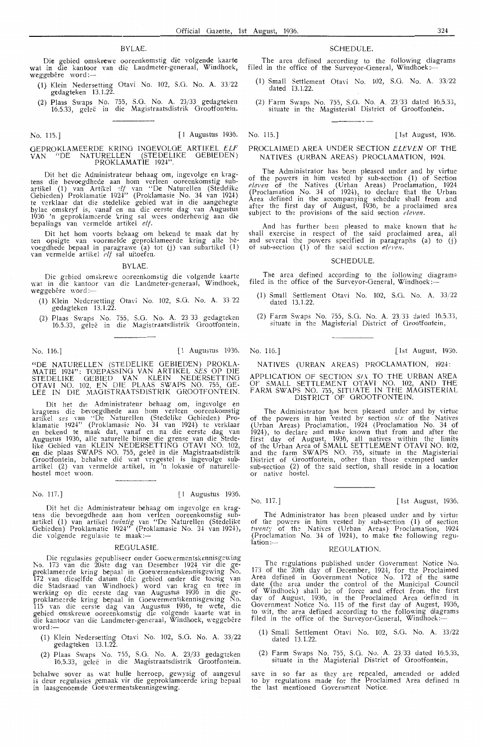#### BYLAE.

Die gebied omskrewe ooreenkomstig die volgende kaarte wat in die kantoor van die Landmeter-generaal, Windhoek, weggebêre word:-

- (1) Klein Nedersetting Otavi No. 102, S.G. No. A. 33/22 gedagteken 13.1.22.
- (2) Plaas Swaps No. 755, S.G. No. A. 23/33 gedagteken 16.5.33, geleë in die Magistraatsdistrik Grootfontein.

#### GEPROKLAMEERDE KRING INOEVOLOE ARTIKEL *ELF*  VAN " DE NATURELLEN (STEDELIKE OEBIEDEN) PROKLAMATIE 1924".

Dit het die Administrateur beh aag om, ingevolge en kragtens die bevoegdhede aan hom verleen ooreenkomstig sub-<br>artikel (1) van Artikel ?*If* van "De Naturellen (Stedelike<br>Gebieden) Proklamatie 1924" (Proklamasie No. 34 van 1924) te verklaar dat die stedelike gebied wat in die aangehegte bylae omskryf is, vanaf en na die eerste dag van Augustus 1936 'n geproklameerde kring sal wees onderhewig aan die bepalings van vermelde artikel elf.

Dit het horn voorts behaag om bekend te maak dat hy ten opsigte van voormelde geproklameerde kring alle bevoegdhede bepaal in paragrawe (a) tot (j) van subartikel (1) van vermelde artikel *elf* sal uitoefen.

**BYLAE** 

Die gebied omskre\Ye ooreenkomstig die volgende kaarte wat in die kantoor van die Landmerer-generaal, Windhoek, weggebêre word:-

- (1) Klein Nedersetting Otavi No. 102, S.O. No. A. 33.22 gedagteken 13.1.22.
- (2) Plaas S\,·aps No. *1·:yJ \_,* S.G. No. A. 23 33 gedagteken 16.5.33, gelee in die Magistraatsdistrik Grootfontein,

"DE NATURELLEN (STEDELIKE GEBIEDEN) PROKLA-MATIE 1924": TOEPASSING VAN ARTIKEL SES OP DIE STEDELIKE OEBIED VAN KLEIN NEDERSETTING OTAVI NO. 102, EN DIE PLAAS SWAPS NO. 755, OE-LEE IN DIE MAOISTRAATSDlSTRIK GROOTFONTEIN.

Dit het die Administrateur behaag om, ingevolge en kragtens die be\·oegdhede aan horn verleen ooreenkomstig artikel *ses* van ''De Naturellen (Stedelike Gebieden) Proklamatie 1924" (Proklamasie No. 34 van 1924) te verklaar<br>en bekend te maak dat, vanaf en na die eerste dag van<br>Augustus 1936, alle naturelle binne die grense van die Stedelike Oebied van KLEIN NEDERSETTINO OTAVI NO. 102., en die plaas SWAPS NO. 755, geleë in die Magistraatsdistrik<br>Grootfontein, behalwe dié wat vrygestel is ingevolge subartikel (2) van wrmelde artikel, in 'n lokasie of naturelle- hostel moet woon.

No. 117.] [ 1 Augustus 1936.

Dit het die Administrateur behaag om ingevolge en krag- tens die bevoegdhede aan horn verleen ooreenkomstig subartikel (1) van artikel twintig van "De Naturellen (Stedelike Gebieden) Proklamatie 1924" (Proklamasie No. 34 van 1924), Gebieden) Proklamatie 1924 (Pro<br>die volgende regulasie te maak :-

#### REGULASIE.

Die regulasies gepubliseer onder Goewermentskennisgewing 1\o. 173 van die 20ste dag van De\$ember 1924 vir die ge- proklameerde kring bepaal in Ooewermentskennisgewing No. 172 van dieselfde datum (die gebied onder die toesig van die Stadsraad van Windhoek) word van krag en tree in werking op die eerste dag van Augustus 1936 in die geproklameerde kring bepaal in Goewermentskennisgewing No. 115 van die eerste dag van Augustus 1936, te wete, die gebied omskrewe ooreenkomstig die volgende kaarte wat in die kantoor van die Landmeter-generaal, Windhoek, weggebêre word:-

- (1) Klein Nedersetting Otavi No. 102, S.O. No. A. 33/22 gedagteken 13.1.22.
- (2) Plaas Swaps No. 755, S.O. No. A. 23/33 gedagteken 16.5.33, gelee in die Magistraatsdistrik Orootfontein.

behalwe sover as wat hulle herroep, gewysig of aangevul is deur regulasies gemaak vir die geproklameerde kring bepaal in laasgenoemde Ooewermentskennisgewing.

#### SCHEDULE.

The area defined according to the following diagrams filed in the office of the Surveyor-General, Windhoek :-

- (1) Small Settlement Ota\'i No. 102, S.O. No. A. 33/22 dated 13.1.22.
- (2) Farm Swaps No. 755, S.G. No. A. 23/33 dated 16.5.33, situate in the Magisterial District of Grootfontdn.

#### No. 115.] [ 1 Augustus 1936. No. 115.] [ 1st August, 1936.

#### PROCLAIMED AREA UNDER SECTION *ELEVEN* Of THE NATIVES (URBAN AREAS) PROCLAMATION, 1924.

The Administrator has been pleased under and by virtue of the powers in him vested by sub-section (1) of Section *eleven* of the Natives (Urban Areas) Proclamation, 1924 (Proclamation No. 34 of 1924), to declare that the Urban<br>Area defined in the accompanying schedule shall from and after the first day of August, 1936, be a proclaimed area subject to the provisions of the said section *eleven*.

And has further been pleased to make known that he shall exercise in respect of the said proclaimed area, all and several the powers specified in paragraphs (a) to  $(i)$ of sub-section  $(1)$  of the said section eleven.

#### SCHEDULE.

The area defined according to the following diagrams filed in the office of the Surveyor-General, Windhoek:-

- (1) Small Settlement Otavi No. 102, S.G. No. A. 33/22 dated 13.1.22
- (2) Farm Swaps No. 755, S.G. No. A. 23,33 dated 16.5.33, situate in the Magiste rial District of Grootfontein ,

No. 116.] [ 1 Augustus 1936. No. 116.] [ 1st August, 1930.

#### NATIVES (URBAN AREAS) PROCLAMATION, 1924 :

APPLICATION OF SECTION SIX TO THE URBAN AREA OF SMALL SETTLEMENT OTAVI NO. 102, AND THE FARN\ SWAPS NO. 755, SITUATE IN THE MAGISTERIAL DISTRICT OF GROOTFONTEIN.

The Administrator has been pleased under and by virtue of the powers in him vested by section *six* of the Natives (Urban Areas) Proclamation, 1924 (Proclamation No. 34 of 1924), to declare and make known that from and after the first day of August, 1936, all natives within the limits of the Urban Area of SMALL SETTLEMENT OTAVI NO. 102, and the farm SWAPS NO. 755, situate in the Magisterial District of Grootfontein, other than those exempted under sub-section (2) of the said section, shall reside in a location or native hostel.

#### No. 117.] [ 1st August, 1936.

The Administrator has been pleased under and by virtue of the powers in him vested by sub-section (1) of section twenty of the Natives (Urban Areas) Proclamation, 1924 (Proclamation No. 34 of 1924), to make the following regulation: $-$  REGULATION.

The regulations published under Government Notice No. 173 of the 20th day of December, 1924, for the Proclaimed Area defined in Government Notice No. 172 of the same date (the area under the control of the Municipal Council of Windhoek) shall be of force and effect from the first day of August, 1936, in the Proclaimed Area defined in Government Notice No. 115 of the first day of August, 1936, to wit, the area defined according to the following diagrams filed in the office of the Surveyor-General, Windhoek:

- (1) Small Settlement Otavi No. 102, S.G. No. A. 33/22 dated 13.1.22.
- (2) Farm Swaps No. 755, S.G. No. A. 23/33 dated 16.5.33, situate in the Magisterial District of Grootfontein,

save in so far as they are repealed, amended or added to by regulations made for the Proclaimed Area defined in the last mentioned Government Notice.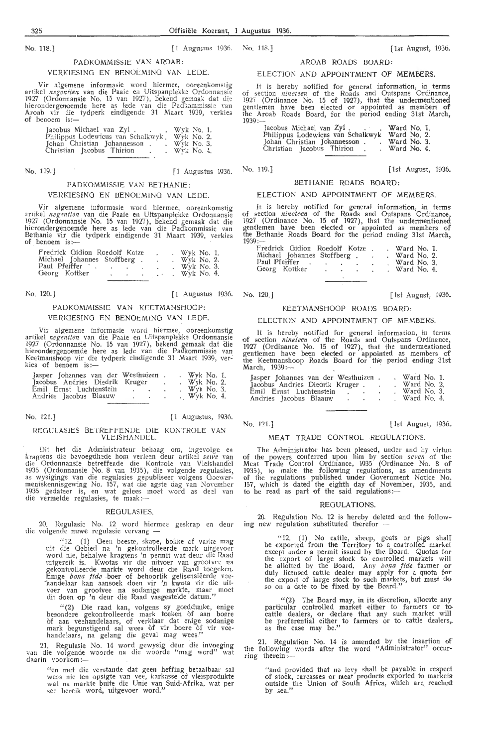No. 118.] [ 1 Augustus, 1936. No. 118. J [ 1st August, 1936. 31]

#### PADKOMM!SS!E VAN AROAB:

#### VERKIESING EN BENOEMING VAN LEDE.

Vir algemene informasie word hiermee, ooreenkomstig<br>artikel *negentien* van die Paaie en Uitspanplekke Ordonnansie 1927 (Ordonnansie No. 15 van 1927), bekend gemaak dat die hierondergenoemde here as lede van die Padkommissie van Aroab vir die tydperk eindigende 31 Maart 1939, verkies of benoem is:-

| Jacobus Michael van Zyl.            | Wyk No. 1.   |  |
|-------------------------------------|--------------|--|
| Philippus Lodewicus van Schalkwyk.  | Wyk No. 2.   |  |
| Johan Christian Johannesson         | $Wyk$ No. 3. |  |
| Christian Jacobus Thirion<br>$\sim$ | . Wyk No. 4. |  |
|                                     |              |  |

No. 119.] [1 Augustus 1936. No. 119.] [1st August, 1936. [1st August, 1936.

### PADKOMM!SSIE VAN BETHANIE: VERKIESINO EN BENOEMINO VAN LEDE.

Vir algemene informasie word hiermee, ooreenkomstig<br>artikel *negentien* van die Paaie en Uitspanplekke Ordonnansie 1927 (Ordonnansie No. 15 van 1927), bekend gemaak dat die hierondergenoemde here as lede van die Padkommissie van<br>Bethanie vir die tydperk eindigende 31 Maart 1939, verkies of benoem is:

| Fredrick Gidion Roedolf Kotze |           |                 | Wyk No. 1. |                 |
|-------------------------------|-----------|-----------------|------------|-----------------|
| Michael Johannes Stoffberg.   |           |                 |            | $Wvk$ No. 2.    |
| Paul Pfeiffer                 | $\bullet$ |                 |            | . Wyk No. 3.    |
| Georg Kottker                 |           | $\cdot$ $\cdot$ |            | . Wyk No. $4$ . |

## PADKOMMISSIE VAN KEETMANSHOOP:

#### VERKIESING EN BENOEMING VAN LEDE

Vir algemene informasie word hiermee, ooreenkomstig artikel negentien van die Paaie en Uitspanplekke Ordonnansie 1927 (Ordonnansie No. 15 van 1927), bekend gemaak dat die hierondergenoemde here as lede van die Padkommissie van Keetmanshoop vir die tydperk eindigende 31 Maart 1939, ver-<sup>:</sup><br>kies of benoem is:—

| Jasper Johannes van der Westhuizen |  | $Wyk$ No. 1. |  |
|------------------------------------|--|--------------|--|
| Jacobus Andries Diedrik Kruger     |  | Wyk No. 2.   |  |
| Emil Ernst Luchtenstein            |  | Wyk No. 3.   |  |
| Andries Jacobus Blaauw             |  | Wyk No. 4.   |  |

No. 121.J

[ 1 Augustus, 1936.

#### REOULASIES BETREFFENDE DIE KONTROLE VAN VLEISHANDEL.

. Dit het die Administrateur behaag om, ingevolge en kragtens die bevoegdhede hom verleen deur artikel seive van die Ordonnansie betreffende die Kontrole van Vleishandel 1935 (Ordonnansie No. 8 van 1935), die volgende regulasies,<br>as wysigings van die regulasies gepubliseer volgens Goewermentskennisgewing No. 157, wat die agste dag van November 1935 gedateer is, en wat gelees moet word as deel van die vermelde regulasies, te maak :-

#### REGULASIES

20. Regulasie No. 12 word hiermee geskrap en deur die volgende nuwe regulasie vervang -

"12. (1) Geen beeste, skape, bokke of varke mag uit die Gebied na 'n gekontrolleerde mark uitgevoer word nie, behalwe kragtens 'n permit wat deur die Raad uitgereik is. Kwotas vir die uitvoer van grootvee na<br>gekontrolleerde markte word deur die Raad toegeken. Enige *bona fide* boer of behoorlik gelisensiëerde vee-<br>Thandelaar kan aansoek doen vir 'n kwota vir die uitvoer van grootvee na sodanige markte, maar moet dit doen op 'n deur die Raad vasgestelde datum."

"(2) Die raad kan, volgens sy goeddunke, enige besondere gekontrolleerde mark toeken of aan boere<br>of aan veehandelaars, of verklaar dat enige sodanige mark begunstigend sal wees of vir boere of vir veehandelaars, na gelang die geval mag wees."

21. Regulasie No. 14 word gewysig deur die invoeging van die volgende woorde na die woorde "mag word" wat daarin voorkom :-

> "en met die verstande dat geen heffing betaalbaar sal wees nie ten opsigte van vee, karkasse of vleisprodukte wat na markte buite die Unie van Suid-Afrika, wat per see bereik word, uitgevoer word."

#### AROAR BOADS BOARD.

#### ELECTION AND APPOINTMENT OF MEMBERS.

It is hereby notified for general information, in terms of section *ningteen* of the Roads and Outspans Ordinance, 1927 (Ordinance No. 15 of 1927), that the undermentioned gentlemen have been elected or appointed as members of the Aroab Roads Board, for the period ending 31st March,  $1939:$ 

| Jacobus Michael van Zyl.          | Ward No. 1. |  |
|-----------------------------------|-------------|--|
| Philippus Lodewicus van Schalkwyk | Ward No. 2. |  |
| Johan Christian Johannesson.      | Ward No. 3. |  |
| Christian Jacobus Thirion.        | Ward No. 4. |  |

#### BETHANIE ROADS BOARD:

#### ELECTION AND APPOINTMENT OF MEMBERS.

It is hereby notified for general information, in terms of section *nineteen* of the Roads and Outspans Ordinance, 1927 (Ordinance No. 15 of 1927), that the undermentioned gentlemen have been elected or appointed as members of the Bethanie Roads Board for the period ending 31st March,<br>1939:-

|                | Fredrick Gidion Roedolf Kotze |   |           |                       | Ward No. 1. |  |
|----------------|-------------------------------|---|-----------|-----------------------|-------------|--|
|                | Michael Johannes Stoffberg .  |   |           | $\tilde{\phantom{a}}$ | Ward No. 2. |  |
| Paul Pfeiffer. |                               | ٠ | $\bullet$ |                       | Ward No. 3. |  |
| Georg Kottker  |                               | ٠ | ٠         |                       | Ward No. 4. |  |

| $\sim$       |           |  |  | $\mathbf{v}$ and $\mathbf{v}$ and $\mathbf{v}$ |  |
|--------------|-----------|--|--|------------------------------------------------|--|
| ul Pfeiffer  |           |  |  | Ward No. 3                                     |  |
| eorg Kottker | $\bullet$ |  |  | Ward No. 4                                     |  |
|              |           |  |  |                                                |  |

No. 120.] [1 Augustus 1936. No. 120.] [ 1st August, 1936. [ 1st August, 1936.

#### KEETMANSHOOP ROADS BOARD:

#### ELECTION AND APPOINTMENT OF MEMBERS.

It is hereby notified for general information, in terms of section *nineteen* of the Roads and Outspans Ordinance, 1927 (Ordinance No. 15 of 1927), that the undermentioned gentlemen have been elected or appointed as members of the Kedmanshoop Roads Board for the period ending 31st March, 1939 :-

| Jasper Johannes van der Westhuizen. |  | Ward No. 1. |  |
|-------------------------------------|--|-------------|--|
| Jacobus Andries Diedrik Kruger.     |  | Ward No. 2. |  |
| Emil Ernst Luchtenstein             |  | Ward No. 3. |  |
| Andries Jacobus Blaauw<br>$\sim$    |  | Ward No. 4. |  |

#### No. 121.]

[ 1st August, 1936.

#### MEAT TRADE CONTROL REGULATIONS.

The Administrator has been pleased, under and by virtue. of the powers conferred upon him by section *seven* of the Meat Trade Control Ordinance, 1935 (Ordinance No. 8 of 1935), to make the following regulations, as amendments of the regulations published under Government Notice to be read as part of the said regulations:

#### **DEGULATIONS**

20. Regulation No. 12 is hereby deleted and the following new regulation substituted therefor

" 12. (1) No cattle, sheep, goats or pigs shalI be exported from the Territory to a controlled market except under a permit issued by the Board. Quotas for the export of large stock to controlled markets will be allotted by the Board, Any *bona fide* farmer or duly licensed cattle dealer may apply for a quota for the export of large stock to such markets, but must do so on a date to be fixed by the Board."

 $''(2)$  The Board may, in its discretion, allocate any particular controlled market either to farmers or to cattle dealers, or declare that any such market will be preferential either to farmers or to cattle dealers,. as the case may be."

21. Regulation No. 14 is amended by the insertion of the following words after the word "Administrator" occurring therein:

"and provided that no levy shall be payable in respect of stock, carcasses or meat products exported to markets outside the Union of South Africa, which are reached by sea."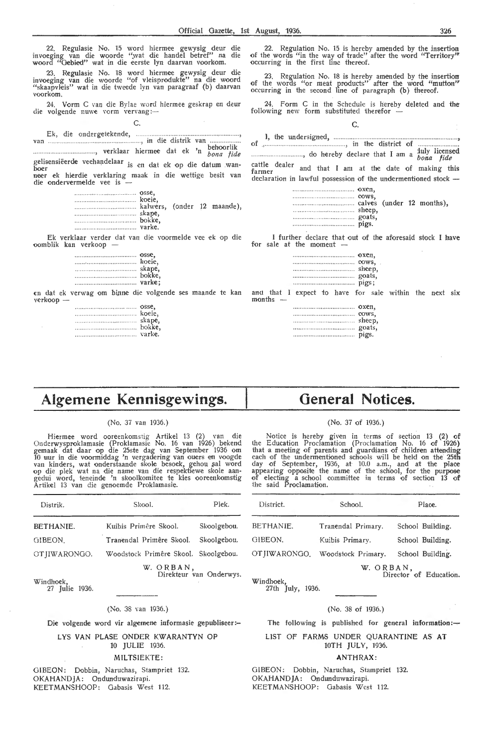22. Regulasie No. 15 word hiermee gewysig deur die invoeging van die woorde ".wat die handel betref" na die woord "Gebied" wat in die eerste lyn daarvan voorkom.

23. Regulasie No. 18 word hiermee gewysig deur die invoeging van die woorde "of vleisprodukte" na die woord "skaapvleis" wat in die tweede lyn van paragraaf (b) daarvan voorkom.

24. Vorm C van die By!ae word hiermee geskrap en deur die volgende nuwe vorm vervang:-C.

Ek, die ondergetekende, ......... .. , van .... , in die distrik van .... , behoorlik ..... , verklaar hi,ermee dat ek n bona fide gelisensiëerde veehandelaar <sub>is en</sub> dat ek op die datum wan-<br>boer neer ek hierdie verklaring maak in die wettige besit van die ondervermelde vee is

Ek verklaar verder dat van die voormelde vee ek op die oomblik kan verkoop

| OSSe,  |  |
|--------|--|
|        |  |
|        |  |
| bokke, |  |
|        |  |
|        |  |

rn dat ek verwag om binne die volgende ses maande te kan verkoop -

|   | osse.            |
|---|------------------|
|   |                  |
|   |                  |
| . | skape,<br>bokke, |
|   | varke.           |

22. Regulation No. 15 is hereby amended by the insertion of the words "in the way of trade" after the word "Territory" occurring in the first line thereof.

23. Regulation No. 18 is hereby amended by the insertion of the words "or meat products" after the word "mutton" occurring in the second line of paragraph (b) thereof.

24. Form C in the Schedule is hereby deleted and the following new form substituted therefor - C.

cattle dealer and that I am at the date of making this declaration in lawful possession of the undermentioned stock --

|--|--|

I further declare that out of the aforesaid stock I have for sale at the moment

| OXen, |        |
|-------|--------|
|       | cows,  |
|       | sheep, |
|       | goats, |
|       | pigs;  |
|       |        |

and that I expect to have for sale within the next six months -

|  |  |  |  |  |  |  |  |  |  |  |  |  |  |  |  |  |  | oxen.  |
|--|--|--|--|--|--|--|--|--|--|--|--|--|--|--|--|--|--|--------|
|  |  |  |  |  |  |  |  |  |  |  |  |  |  |  |  |  |  | 00ws.  |
|  |  |  |  |  |  |  |  |  |  |  |  |  |  |  |  |  |  | sheep, |
|  |  |  |  |  |  |  |  |  |  |  |  |  |  |  |  |  |  | goats, |
|  |  |  |  |  |  |  |  |  |  |  |  |  |  |  |  |  |  | pigs.  |

# **Algemene Kennisgewings.**

#### (No. 37 van 1936.)

Hiermee word ooreenkomstig Artikel 13 (2) van die Onderwysproklamasie (Proklamasie No. 16 van 1926) bekend<br>gemaak dat daar op die 25ste dag van September 1936 om<br>10 uur in die voormiddag 'n vergadering van ouers en voogde<br>van kinders, wat onderstaande skole besoek, gehou op die plek wat na die name van die respektiewe skole aan-<br>gedui word, teneinde 'n skoolkomitee te kies ooreenkomstig Artikel 13 van die genoemde Proklamasie.

| Distrik.                 | Skool.                               | Plek.       |
|--------------------------|--------------------------------------|-------------|
| BETHANIE.                | Kuibis Primêre Skool.                | Skoolgebou. |
| GIBEON.                  | Tranendal Primêre Skool.             | Skoolgebou. |
| OTJIWARONGO.             | Woodstock Primêre Skool. Skoolgebou. |             |
| $W$ indhoek, $27 - 1026$ | W. ORBAN,<br>Direkteur van Onderwys. |             |

27 Julie 1936.

#### (No. 38 van 1936.)

Die volgende word vir algemene informasie gepubliseer:-

LYS VAN PLASE ONDER KWARANTYN OP 10 JULIE 1936.

# MILTSIEKTE:

GJBEON: Dobbin, Naruchas, Stampriet 132. OKAHANDJA: Ondunduwazirapi. KEETMANSHOOP: Gabasis West 112.

# **General Notices.**

#### (No. 37 of 1936.)

Notice is hereby given in terms of section 13 (2) **of**  the Education Proclamation (Proclamation No. 16 of 1926) that a meeting of parents and guardians of children attending<br>each of the undermentioned schools will be held on the 25th day of September, 1936, at 10.0 a.m., and at the p1aoe appearing opposite the name of the school, for the purpose of electing a school committee in terms of section 13 of the said Proclamation.

| District. | School.                          | Place.                              |
|-----------|----------------------------------|-------------------------------------|
| BETHANIE. | Tranendal Primary.               | School Building.                    |
| GIBEON.   | Kuibis Primary.                  | School Building.                    |
|           | OT JIWARONGO. Woodstock Primary. | School Building.                    |
| Windhoek, |                                  | W. ORBAN,<br>Director of Education. |

27th July, 1936.

#### (No. 38 of 1936.)

The following is published for general information: $-$ 

LIST OF FARMS UNDER QUARANTINE **AS AT**  10TH JULY, 1936.

#### **ANTH RAX:**

GIBEON: Dobbin, Naruchas, Stampriet 132. OKAHANDJA: Ondunduwazirapi. KEETMANSHOOP: Gahasis West 112.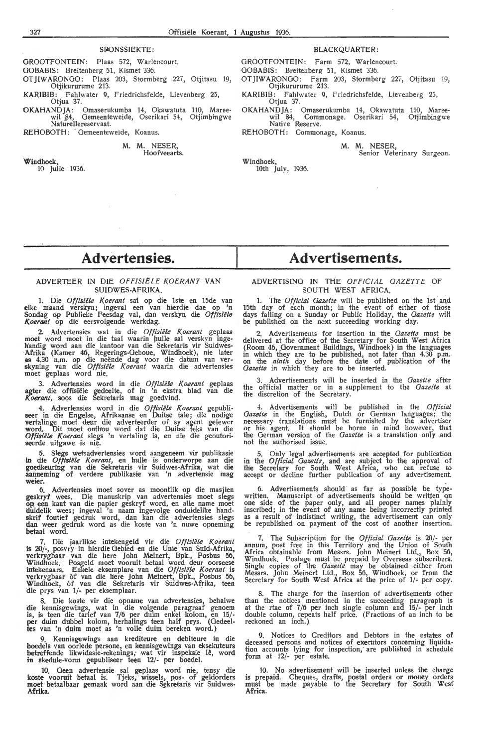#### SPONSSIEKTE:

GROOTFONTEIN: Plaas 572, Warlencourt.

OOBABIS: Breitenberg 51, Kismet 336.

OT JIWARONGO: Plaas 203, Stormberg 227, Otjitasu 19, Otjikururume 213.

**KARIBIB:** . Fahlwater 9, Friedrichsfelde, Lievenberg 25, Otjua 37.

**OKAHANDJA:** Omaserukumba 14, Okawatuta 110, Mareewil 84, Gemeenteweide, Oserikari 54, Otjimbingwe<br>Naturellereservaat.

REHOBOTH: Gemeenteweide, Koanus.

#### **M. M. NESER,**  Hoofveearts.

**Windhoek,** 

10 Julie 1936.

#### BLACKQUARTER:

GROOTFONTEIN: Farm 572; Warlencourt.

GOBABIS: Breitenberg 51, Kismet 336.

OTJIWARONGO: Farm 203, Stormberg 227, Otjitasu 19, Otjikururume 213.

KARIBIB: Fahlwater 9, Friedrichsfelde, Lievenberg 25, Otjua 37.

OKAHANDJA: Omaserukumba 14, Okawatuta 110, Mareewil 84, Commonage. Oserikari 54, Otjimbingwe Native Reserve.

REHOBOTH: Commonagc, Koanus.

**M. M.** NESER, Senior Veterinary Surgeon.

Windhoek, 10th July, 1936.

# **Advertensies.**

## ADVERTEER IN DIE OFFISIËLE KOERANT VAN SUIDWES-AFRIKA.

1. Die *Offisiiile K.oerant* sa'l op die lste en 15de van elke maand verskyn; ingeval een van hierdie dae op 'n Sondag op Publieke Feesdag val, dan verskyn die *Offisiële* Koerant op die eersvolgende werkdag.

2. Advertensies wat in die Offisiële Koerant geplaas moet word moet in die taal waarin hulle sal verskyn ingelrandig word aan die kantoor van die Sekretaris vir Suidwes- 'Afrika (Kamer 46, Regerings-Oeboue, Windhoek), nie later<br>**as** 4.30 n.m. op die neënde dag voor die datum van ver-<br>skyning van die *Offisiële Koerant* waarin die advertensies<br>moet geplaas word nie.

3. Advertensies word in die Offisiële Koerant geplaas agter die offisiele gedeelte, of in 'n ekstra blad van die *Koenmt,* soos die Sekretaris mag goedvind.

4. Advertensies word in die *Offisiële Koerant* gepubli-<br>seer in die Engelse, Afrikaanse en Duitse tale; die nodige vertalinge moet deur die adverteerder of sy agent gelewer word. Dit moet onthou word dat die Duitse teks van die Offisiële Koerant slegs 'n vertaling is, en nie die geoutoriseerde uitgawe is nie,

5. Slegs wetsadvertensies word aangeneem vir publikasie in die *Offisiële Koerant*, en hulle is onderworpe aan die goedkeuring van die Sekretaris vir Suidwes-Afrika, wat die<br>aanneming of verdere publikasie van 'n advertensie mag **weier.** 

6. Advertensies moet saver as moontlik op die masjien geskryf wees. Die manuskrip van advertensies moet slegs op, een kant van die papier geskryf word, en alLe name moet tluidelik wees; ingeval 'n naam ingevolge onduidelike handskrif foutief gedruk word, dan kan die advertensies slegs dan weer gedruk word as die koste van 'n nuwe opneming betaal word.

7. Die jaarlikse intekengeld vir die Offisiële Koerant is 20/-, posvry in hierdie Gebted en die Unie van Suid-Afrika, verkrygbaar van die here John Meinert, Bpk., Posbus 56, Windhoek. Posgeld moet vooruit betaal word deur oorseese<br>intekenaars. Enkele eksemplare van die *Offisiële Koerant* is verkrygbaar of van die here John Meinert, Bpk., Posbus 56, Windhoek, of van die Sekretaris vir Suidwes-Afrika, teen die prys van 1/- per eksemplaar.

8. Die koste vir die opname van advertensies, behalwe die kennisgewings, wat in die volgende paragraaf genoem is, is. teen die tarief van 7/6 per duim enkel kolom, en 15/ per duim dubbel kolom, herhalings teen half prys. (Oedeeltes van 'n duim moet as 'n volle duim bereken word.)

9. Kennisgewings aan krediteure en debiteure in die boedels van oorlede persone, en kennisgewings van eksekuteurs<br>betreffende likwidasie-rekenings, wat vir inspeksie lê, word in skedule-vorm gepubliseer teen 12/- per boedel.

10. Geen advertensie sal geplaas word nie, tensy die koste vooruit betaal is. Tjeks, wissels, pos- of geldorders moet betaalbaar gemaak word aan die Sekretaris vir Suidwes-**Afrika.** 

# **Advertisements.**

#### ADVERTISING IN THE OFFICIAL GAZETTE OF SOUTH WEST AFRICA.

1. The *Official Gazette* will be published on the 1st and 15th day of each month; in the event of either of those days falling on a Sunday or Public Holiday, the *Gazette* will be published on the next succeeding working day.

2. Advertisements for insertion in the *Gazette* must be delivered at the office of the Secretary for South West Africa (Room 46, Government Buildings, Windhoek) in the languages in which they are to be published, not later than 4.30 p.m. on fue *ninth* day before the date of pub).icati-on of the *Gazette* in which they are to be inserted.

3. Advertisements wili be inserted in the *Gazette* after the official matter or in a supplement to the *Gazette* at the discretion of the Secretary.

-1. Advertisements will be published in the *Official Gazette* in the English, Dutch or German languages; the necessary translations must be furnished by the advertiser<br>or his agent. It should be borne in mind however, that the German version of the *Gazette* is a translation only and not the authorised issue.

5. Only legal advertisements are accepted for publication in the *Official Gazette,* and are subject to the approval of the Secretary for South West Africa, who can refuse to accept or decline further publication of any advertisement.

6. Advertisements should as far as possible be typewritten. Manuscript of advertisements should be written on<br>one side of the paper only, and all proper names plainly inscribed; in the event of any name being incorrectly printed as a result pf indistinct writing, the advertisement can only be republished on payment of the cost of another insertion.

7. The Subscription for the *Official Gazette* is 20/- per annum, post free in this Territory and the Union of South Africa obtainable from Messrs. John Meinert Ltd., Box 56, Windhoek. Postage must be prepaid by Overseas subscribers. Single copies of the *Gazette* may be obtained either from Messrs. John Meinert Ltd., Box 56, Windhoek, or from the Secretary for South West Africa at the price of 1/- per copy.

8. The charge for the insertion of advertisements other than the notices mentioned in the succeeding paragraph is at the rtae of 7/6 per inch single column and 15/- per inch double column, repeats half price. (Fractions of an inch to be reckoned an inch.)

Notices to Creditors and Debtors in the estates of deceased persons and notices of executors concerning liquidation accounts lying for inspection, are published in schedule form at 12/- per estate.

10. No advertisement will be inserted unless the charge is prepaid. Cheques, drafts, postal orders or money orders must be made payable to the Secretary for South West Africa.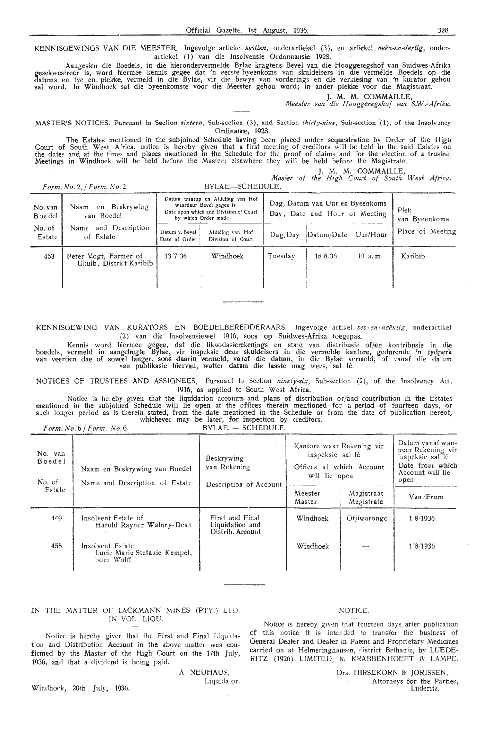KENNISGEWINGS VAN DIE MEESTER. Ingevolge artiekel *sestien*, onderartiekel (3), en artiekel *neën-en-dertig*, onderartiekel (1) van die Insolvensie Ordonnansie 1928.

Aangesien die Boedels, in die hierondervermelde Bylae kragtens Bevel van die Hooggeregshof van Suidwes-Afrika gesekwestreer is, word hiermee kennis gegee dat 'n eerste byeenkoms van skuldeisers in die vermelde Boedels op die datums en tye en plekke, vermeld in die Bylae, vir die bewys van vorderings en die verkiesing van 'n kurator gehou sal word. In Windhoek sal die byeenkomste voor die Meester gehou word; in ander plekke voor die Magistraat.

J. M. M. COMMAILLE, . *A1eester van die Hoogg,eregshof van S.W.-Afrika.* 

MASTER'S NOTICES. Pursuant to Section *sixteen*, Sub-section (3), and Section *thirty-nine*, Sub-section (1), of the Insolvency Ordinance, 1928.

The Estates mentioned in the subjoined Schedule having been placed under sequestration by Order of the High Court of South West Africa, notice is hereby given that a first meeting of creditors will be held in the said Estates on<br>the dates and at the times and places mentioned in the Schedule for the proof of claims and for the e Meetings in Windhoek will be held before the Master; elsewhere they will be held before the Magistrate.

M. M. COMMAILLE

'

|                     | Form. No. 2. / Form. No. 2.                      | BYLAE.-SCHEDULE.                                                                                                            | $\mu$ in $\mu$ , continualed,<br>Master of the High Court of South West Africa. |                         |
|---------------------|--------------------------------------------------|-----------------------------------------------------------------------------------------------------------------------------|---------------------------------------------------------------------------------|-------------------------|
| No. van<br>B oe del | Beskrywing<br>Naam<br>en<br>van Boedel           | Datum waarop en Afdeling van Hof<br>waardeur Bevel gegee is<br>Date upon which and Division of Court<br>by which Order made | Dag, Datum van Uur en Byeenkoms<br>Dav, Date and Hour of Meeting                | Plek:<br>van Byeenkoms. |
| No. of<br>Estate    | and Description<br>Name<br>of Estate             | Datum v. Bevel<br>Afdeling van Hof<br>Division of Court<br>Date of Order                                                    | Uur/Hour<br>Datum/Date<br>Daq/Day                                               | Place of Meeting        |
| 463                 | Peter Vogt, Farmer of<br>Ukuib. District Karibib | 13/7/36<br>Windhoek                                                                                                         | 18/8/36<br>Tuesdav<br>10 a.m.                                                   | <b>Karibib</b>          |

KENNISGEWING VAN KURATORS EN BOEDELBEREDDERAARS. Ingevolge artikel *ses -en -neiintig ,* onde ra rtikel (2) van die Insolvensiewet 1916, soos op Suidwes-Afrika toegepas.

Kennis word hiermee gegee, dat die likwidasierekenings en state van distribusie of/en kontribusie in die boedels, vermeld in aangehegte Bylae, vir inspeksie deur skuldeisers in die vermelde kantore, gedurende 'n tydperk<br>van veertien dae of soveel langer, soos daarin vermeld, vanaf die datum, in die Bylae vermeld, of vanaf die

NOTICES OF TRUSTEES **AND** ASSIGNEES. Pursuant to Section *ninety-six,* Sub-section (2), of the Insolvency Ad, 1916, as applied to South West **Africa.** 

Notice is hereby given that the liquidation accounts and plans of distribution or/and contribution in the Estates mentioned in the subjoined Schedule will lie open at the offices therein mentioned for a period of fourteen days, or<br>such longer period as is therein stated, from the date mentioned in the Schedule or from the date of publ whichever may be later, for inspection by creditors.

| Form. No. 6 / Form. No. 6. | $BYLAE.$ $-$ SCHEDULE. |
|----------------------------|------------------------|
|                            |                        |
|                            |                        |

| No. van<br>Boedel<br>No. of | Naam en Beskrywing van Boedel<br>Name and Description of Estate | Beskrywing<br>van Rekening<br>Description of Account   | Kantore waar Rekening vir<br>inspeksie sal lê<br>Offices at which Account<br>will lie open | Datum vanaf wan-<br>neer Rekening vir<br>inspeksie sal lê<br>Date from which<br>Account will lie<br>open |          |
|-----------------------------|-----------------------------------------------------------------|--------------------------------------------------------|--------------------------------------------------------------------------------------------|----------------------------------------------------------------------------------------------------------|----------|
| Estate                      |                                                                 |                                                        | Meester<br>Master                                                                          | Magistraat<br>Magistrate                                                                                 | Van/From |
| 449                         | Insolvent Estate of<br>Harold Rayner Walney-Dean                | First and Final<br>Liquidation and<br>Distrib. Account | Windhoek                                                                                   | Otiiwarongo                                                                                              | 1/8/1936 |
| 455                         | Insolvent Estate<br>Lucie Marie Stefanie Kempel,<br>born Wolff  |                                                        | Windhoek                                                                                   |                                                                                                          | 1.8/1936 |

## IN THE MATTER Of LACKMANN MINES (PTY.) LTD. IN VOL. LIQU.

Notice is hereby given that the First and Final Liquidation and Distribution Account in the above matter was confirmed by the Master of the High Court on the 17th July, 1936, and that a dividend is being paid.

> A. NEUHAUS, Liquidator.

Windhoek, 20th July, 1936.

## NOTICE.

Notice is hereby given that fourteen days after publication of this notice it is intended to transfer the business of General Dealer and Dealer in Patent and Proprietary Medicines carried on at Helmeringhausen, district Bethanie, by LUEDE-RITZ (1926) LIMITED, to KRABBENHOEFT & LAMPE.

> Ors. H!RSEKORN & JORISSEN, Attorneys for the Parties, Luderitz.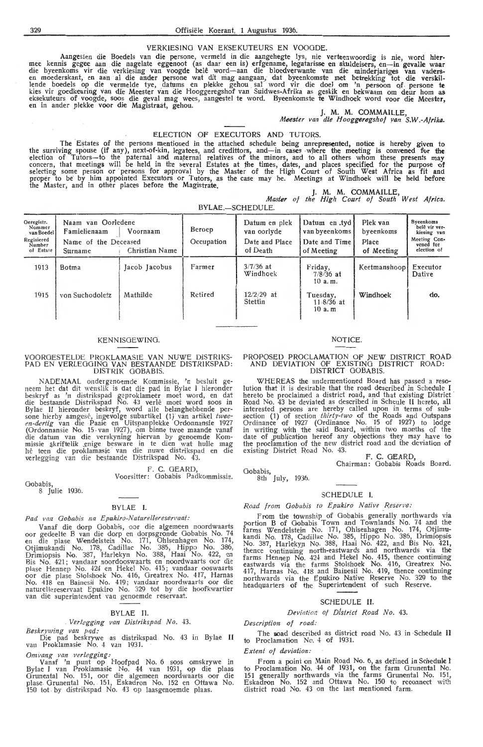## VERKIESING VAN EKSEKUTEURS EN VOOODE.

Aangesien die Boedels van die persone, vermeld in die aangehegte lys, nie verteenwoordig is nie, word hier-<br>mee kennis gegee aan die nagelate eggenoot (as daar een is) erfgename, legatarisse en skuldeisers, en—in gevalle w lende boedels op die vermelde tye, datums en plekke gehou sal word vir die doel om 'n persoon of persone **te** kies vir goedkeuring van die Meester van die Hooggeregshof van Suidwes-Afrika as geskik en bekwaam om deur hom as eksekuteurs of voogde, soos die geval mag wees, aangestel te word. Byeenkomste te Windhoek word voor die Meester,<br>en in ander plekke voor die Magistraat, gehou.

J. **M. M.** COMMAILLE, *Meester van die Hooggeregshof yan S.W.-Afriko.* 

#### ELECTION OF EXECUTORS AND TUTORS.

The Estates of the persons mentioned in the attached schedule being unrepresented, notice is hereby given to<br>the surviving spouse (if any), next-of-kin, legatees, and credittors, and—in cases where the meeting is convened election of Tutors-to the paternal and maternal relatives of the minors, and to all others whom these presents may concern, that meetings will be held in the several Estates at the times, dates, and places specified for the purpose of selecting some person or persons for approval by the Master of the High Court of South West Africa as fit and proper to be by him appointed Executors or Tutors, as the case may be. Meetings at Windhoek will be held before the Master, and in other places before the Magistrate.

J. M. M. COMMAILLE, *Master of the High Court of South West Afric,a.* 

BYLAE.-SCHEDULE.

| Geregistr.<br>Nommer<br>van Boedel<br>Regisiered<br>Number<br>of Estate | Naam van Oorledene<br>Famielienaam<br>Name of the Deceased<br>Surname | Voornaam<br>Christian Name | Beroep<br>Occupation | Datum en plek<br>van oorlyde<br>Date and Place<br>of Death | Datum en tyd<br>van byeenkoms<br>Date and Time<br>of Meeting | Plek van<br>byeenkoms<br>Place<br>of Meeting | <b>Byeenkoms</b><br>belê vir ver-<br>kiesing van<br>Meeting Con-<br>vened for<br>election of |
|-------------------------------------------------------------------------|-----------------------------------------------------------------------|----------------------------|----------------------|------------------------------------------------------------|--------------------------------------------------------------|----------------------------------------------|----------------------------------------------------------------------------------------------|
| 1913                                                                    | Botma                                                                 | Jacob Jacobus              | Farmer               | $3/7/36$ at<br>Windhoek                                    | Friday,<br>$7/8/36$ at<br>10a.m.                             | Keetmanshoop                                 | Executor<br>Dative                                                                           |
| 1915                                                                    | von Suchodoletz                                                       | Mathilde                   | Retired              | $12/2/29$ at<br>Stettin                                    | Tuesday,<br>$11.8/36$ at<br>$10a$ . $m$                      | Windhoek                                     | do.                                                                                          |

#### KENN ISOEWINO.

## VOOROESTELDE PROKLAMASIE VAN NUWE DISTRIKS-PAD EN VERLEOOINO VAN BESTAANDE DISTRIKSPAD : DiSTRIK OOBAB IS.

NADEMAAL ondergenoemde Kommissie, 'n besluit geneem het dat dit wenslik is dat die pad in Bylae I hieronder beskryf as 'n distrikspad geproklameer moet word, en dat die bestaande Distrikspad No. 43 verle moet word soos m Bylae II hieronder beskryf, word alle belanghebbende per-<br>sone hierby aangesê, ingevolge subartikel (1) van artikel *twee-*<br>*en-dertig* van die Paaie en Uitspanplekke Ordonnansie 1927 (Ordonnansie No. 15 van 1927), om binne twee maande vanaf die datum van die verskyning hiervan by genoemde Kom-<br>missie skriftelik enige besware in te dien wat hulle mag<br>hê teen die proklamasie van die nuwe distrikspad en die verlegging van die bestaande Distrikspad No. 43.

F. C. GEARD,

Voorsitter: Gobabis Padkommissie.

Gobabis, 8 Julie 1936.

## BYLAE I.

## Pad van Gobabis na Epukiro-Naturellereservaat:

Vanaf die dorp Gobabis, oor die algemeen noordwaarts oor gedeelte B van die dorp en dorpsgronde Gobabis No. 74<br>en die plase Wendelstein No. 171, Ohlsenhagen No. 174, Otjimukandi No. 178, Cadillac No. 385, Hippo No. 386, Drimiopsis No. 387, Harlekyn No. 388, Haai No. 422, en<br>Bis No. 421; vandaar noordooswaarts en noordwaarts oor die plase Hennep No. 424 en Hekel No. 415; vandaar ooswaarts<br>oor die plase Stolshoek No. 416, Greatrex No. 417, Harnas<br>No. 418 en Bainesii No. 419; vandaar noordwaarts oor die naturellereservaat Epukiro No. 329 tot by die hoofkwartier<br>van die superintendent van genoemde reservaat.

#### BYLAE II.

### *Verlegging* van *Disfrikspad No.* 43.

*Beskrywing* van pad:

Die pad beskrywe as distrikspad No. 43 in Bylae II<br>van Proklamasie No. 4 van 1931.

*Omvang van verlegging:* 

Vanaf 'n punt op Hoofpad No. 6 soos omskrywe in Bylae I van Proklamasie No. 44 van 1931, op die plaas Grunental No. 151, oor die algemeen noordwaarts oor die plase Grunental No. 151, Eskadron No. 152 en Ottawa No. 150 tot by distrikspad No. 43 op laasgenoemde plaas.

#### NOTICE.

#### PROPOSED PROCLAMATION OF NEW DISTRICT ROAD AND DEVIATION OF EXISTING DISTRICT ROAD: DISTRICT OOBABIS.

WHEREAS the undermentioned Board has passed a reso- lution that it is desirable that the mad described in Schedule I hereto be proclaimed a district road, and that existing District Road No. 43 be deviated as described in Scheule II hereto, all interested persons are hereby called upon in terms of subsection (1) of section *thirty-two* of the Roads and Outspans Ordinance of 1927 (Ordinance No. 15 of 1927) to lodge in writing with the said Board, within two months of the date of publication hereof any objections they may have to the proclamation of the new district road and the deviation of existing District Road No. 43.

**F. C. OEARD,** 

Chairman: Oobabis Roads Board.

Oobabis, 8th July, 1936.

#### SCHEDULE I.

*Road from Gobabis to E pukiro Native \_Reserve:* 

**From** the township of Oobabis generally northwards via portion B of Gobabis Town and Townlands No. 74 and the farms Wendelstein No. 171, Ohlsenhagen No. 174, Otjimukandi No. 178, Cadillac No. 385, Hippo No. 386, Drimiopsis No. 387, Harlekyn No. 388, Haai No. 422, and Bis No. 421, thence continuing north-eastwards and northwards via the farms Hennep No.  $424$  and Hekel No.  $415$ , thence continuing eastwards via the farms Stolshoek No. 416, Oreatrex No. 417, Harnas No. 418 and Bainesii No. 419, thence continuing northwards via the Epukiro Native Reserve No. 329 to the headquarters of the Superintendent of such Reserve.

#### SCHEDULE II.

#### *Deviation* of *District Road No.* 43.

*Description of road:* 

The soad described as district road No. 43 in Schedule II to Proclamation No. 4 of 1931.

#### *Extent of deviation:*

From a point on Main Road No. 6, as defined in Schedule **l**  to Proclamation No. 44 of 1931, on the farm Grunental Ne. 151 generally northwards via the farms Grunental No. 151,<br>Eskadron No. 152 and Ottawa No. 150 to reconnect with district road No. 43 on the last mentioned farm.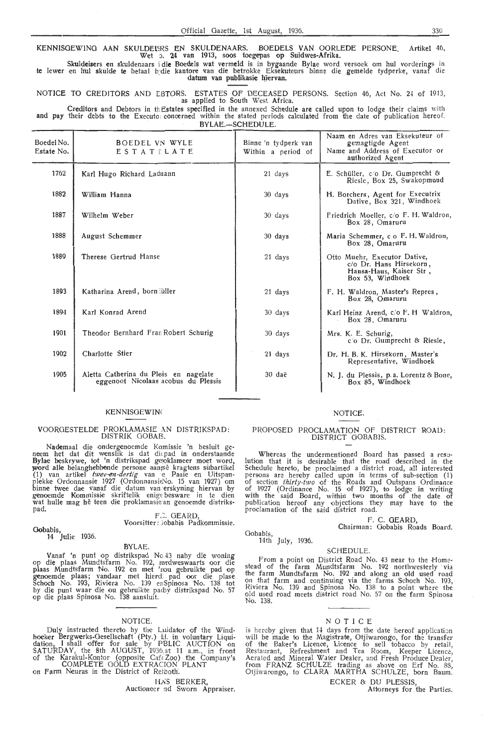KENNISGEWING AAN SKULDEISRS EN SKULDENAARS. BOEDELS VAN OORLEDE PERSONE Artikel 46. Wet 5. 24 van 1913, soos toegepas op Suidwes-Afrika.

Skuldeisers en skuldenaars i die Boedels wat vermeld is in bygaande Bylae word versoek om hul vorderings in te lewer en hul skulde te betaal bydie kantore van die betrokke Eksekuteurs binne die gemelde tydperke, vanaf die<br>· datum van publikasie hiervan.

NOTICE TO CREDITORS AND EBTORS. ESTATES OF DECEASED PERSONS. Section 46, Act No. 24 of 1913, as applied to South West Africa.

Creditors and Debtors in the Estates specified in the annexed Schedule are called upon to lodge their claims with **and pay** their debts to the Executor concerned within the stated periods calculated from the date of publication hereof.  $RVI$   $AF$   $\_SCH$  $F$  $NII$   $F$ 

| Boedel No.<br>Estate No. | BOEDEL VN WYLE<br>ESTATELATE                                                 | Binne 'n tydperk van<br>Within a period of | Naam en Adres van Eksekuteur of<br>gemagtigde Agent<br>Name and Address of Executor or<br>authorized Agent |
|--------------------------|------------------------------------------------------------------------------|--------------------------------------------|------------------------------------------------------------------------------------------------------------|
| 1762                     | Karl Hugo Richard Ladnann                                                    | 21 days                                    | E. Schüller, c/o Dr. Gumprecht &<br>Riesle, Box 25, Swakopmund                                             |
| 1882                     | William Hanna                                                                | 30 days                                    | H. Borchers, Agent for Executrix<br>Dative, Box 321, Windhoek                                              |
| 1887                     | Wilhelm Weber                                                                | 30 days                                    | Friedrich Moeller, c/o F. H. Waldron,<br>Box 28, Omaruru                                                   |
| 1888                     | August Schemmer                                                              | 30 days                                    | Maria Schemmer, c o F. H. Waldron,<br>Box 28, Omaruru                                                      |
| 1889                     | Therese Gertrud Hanse                                                        | 21 days                                    | Otto Muehr, Executor Dative,<br>c/o Dr. Hans Hirsekorn,<br>Hansa-Haus, Kaiser Str,<br>Box 53, Windhoek     |
| 1893                     | Katharina Arend, born äiller                                                 | 21 days                                    | F. H. Waldron, Master's Repres,<br>Box 28, Omaruru                                                         |
| 1894                     | Karl Konrad Arend                                                            | $30 \text{ days}$                          | Karl Heinz Arend, c/o F. H Waldron,<br>Box 28, Omaruru                                                     |
| 1901                     | Theodor Bernhard Fran Robert Schurig                                         | 30 days                                    | Mrs. K. E. Schurig.<br>c'o Dr. Gumprecht & Riesle,                                                         |
| 1902                     | Charlotte Stier                                                              | 21 days                                    | Dr. H. B. K. Hirsekorn, Master's<br>Representative, Windhoek                                               |
| 1905                     | Aletta Catherina du Pleis en nagelate<br>eggenoot Nicolaas acobus du Plessis | 30 daë                                     | N. J. du Plessis, p.a. Lorentz & Bone,<br>Box 85, Windhoek                                                 |
|                          |                                                                              |                                            |                                                                                                            |

#### **KENNISGEWING**

#### VOORGESTELDE PROKLAMASIE AN DISTRIKSPAD: DISTRIK GOBAE.

Nademaal die ondergenoemde Komissie 'n besluit ge-<br>neem het dat dit wenslik is dat diepad in onderstaande Bylae beskrywe, tot 'n distrikspad geoklameer moet word, word alle belanghebbende persone aansê kragtens subartikel (1) van artikel twee-en-dertig van e Paaie en Uitspanplekke Ordonnansie 1927 (OrdonnansieNo. 15 van 1927) om<br>binne twee dae vanaf die datum van erskyning hiervan by genoemde Kommissie skriftelik enige besware in te dien wat hulle mag hê teen die proklamasie an genoemde distriks-<br>pad.

F.C. GEARD

Voorsitter: lobabis Padkommissie.

Gobabis, 14 Julie 1936.

#### BYLAE.

Vanaf 'n punt op distrikspad No.43 naby die woning op die plaas Mundtsfarm No. 192, mrdweswaarts oor die plaas Mundtsfarm No. 192 en met 'nou gebruikte pad op genoemde plaas; vandaar met hierdi pad oor die plase Schoch No. 193, Riviera No. 139 enSpinosa No. 138 tot by die punt waar die ou gebruikte pacby distrikspad No. 57 op die plaas Spinosa No. 138 aansluit.

#### **NOTICE**

Duly instructed thereto by the Lrudator of the Windhoeker Bergwerks-Gesellschaft (Pty.) ld. in voluntary Liquidation, I shall offer for sale by PBLIC AUCTION on<br>SATURDAY, the 8th AUGUST, 1936,at 11 a.m., in front of the Karakul-Kontor (opposite CafeZoo) the Company's COMPLETE GOLD EXTRACION PLANT<br>on Farm Neuras in the District of Reiboth.

HAS BERKER, Auctioneer nd Sworn Appraiser.

#### **NOTICE**

# PROPOSED PROCLAMATION OF DISTRICT ROAD:<br>DISTRICT GOBABIS.

Whereas the undermentioned Board has passed a reso-<br>lution that it is desirable that the road described in the Schedule hereto, be proclaimed a district road, all interested persons are hereby called upon in terms of sub-section (1) of section thirty-two of the Roads and Outspans Ordinance of 1927 (Ordinance No. 15 of 1927), to lodge in writing with the said Board, within two months of the date of publication hereof any objections they may have to the proclamation of the said district road.

### F. C. OEARD,

Chairman: Gobabis Roads Board.

Oobabis, 14th July, 1936.

#### **SCHEDULE**

From a point on District Road No. 43 near to the Home-<br>stead of the farm Mundtsfarm No. 192 northwesterly 'via<br>the farm Mundtsfarm No. 192 and along an old used road the farm Mundtsfarm No. 192 and along an old used road on that farm and continuing via the farms Schoch No. 193, Riviera No. 139 and Spinosa No. 138 to a point where the old used road meets district road No. 57 on the farm Spinosa No. 138

#### NOTICE

is hereby given that 14 days from the date hereof application will be made to the Magistrate, Otjiwarongo, for the transfer of the Baker's Licence, Licence to sell tobacco by retail, Restaurant, Refreshment and Tea Room, Keeper Licence. Aerated and Mineral Water Dealer, and Fresh Produce Dealer, from FRANZ SCHULZE trading as above on Erf No. 88, Otjiwarongo, to CLARA MARTHA SCHULZE, born Baum.

ECKER & DU PLESSIS,

Attorneys for the Parties.